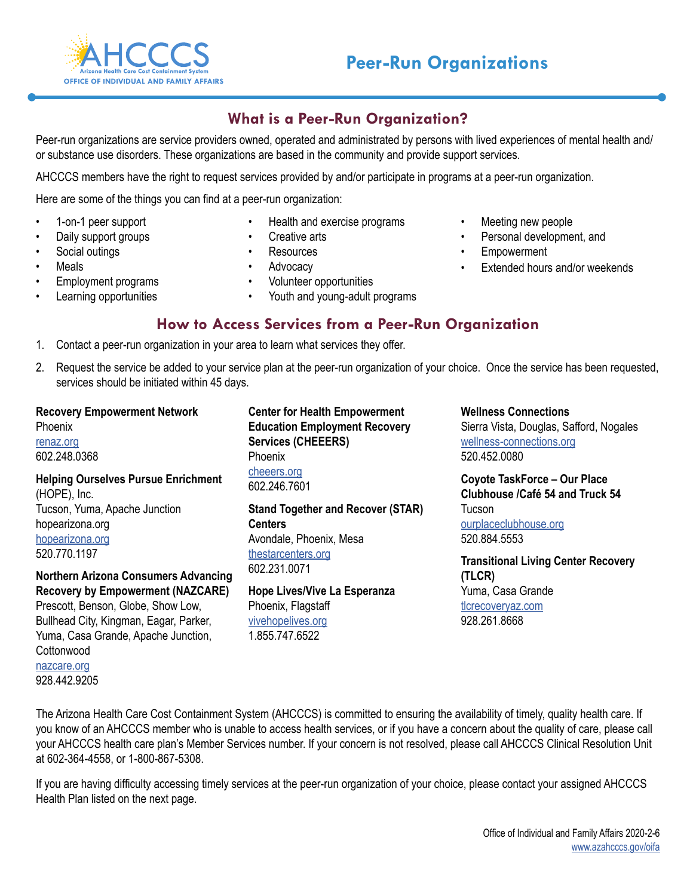

## **What is a Peer-Run Organization?**

Peer-run organizations are service providers owned, operated and administrated by persons with lived experiences of mental health and/ or substance use disorders. These organizations are based in the community and provide support services.

AHCCCS members have the right to request services provided by and/or participate in programs at a peer-run organization.

Here are some of the things you can find at a peer-run organization:

- 1-on-1 peer support
- Daily support groups
- Social outings
- Meals
- Employment programs
- Learning opportunities
- Health and exercise programs
- Creative arts
- **Resources**
- Advocacy
- Volunteer opportunities
- Youth and young-adult programs
- Personal development, and

• Meeting new people

- **Empowerment**
- Extended hours and/or weekends
- **How to Access Services from a Peer-Run Organization**
- 1. Contact a peer-run organization in your area to learn what services they offer.
- 2. Request the service be added to your service plan at the peer-run organization of your choice. Once the service has been requested, services should be initiated within 45 days.

**Recovery Empowerment Network** Phoenix [renaz.org](http://renaz.org) 602.248.0368

**Helping Ourselves Pursue Enrichment**  (HOPE), Inc. Tucson, Yuma, Apache Junction hopearizona.org [hopearizona.org](http://hopearizona.org) 520.770.1197

**Northern Arizona Consumers Advancing Recovery by Empowerment (NAZCARE)** Prescott, Benson, Globe, Show Low, Bullhead City, Kingman, Eagar, Parker, Yuma, Casa Grande, Apache Junction, Cottonwood

[nazcare.org](http://www.nazcare.org) 928.442.9205 **Center for Health Empowerment Education Employment Recovery Services (CHEEERS)** Phoenix [cheeers.org](http://cheeers.org) 602.246.7601 **Stand Together and Recover (STAR)** 

**Centers** Avondale, Phoenix, Mesa [thestarcenters.org](http://thestarcenters.org) 602.231.0071

**Hope Lives/Vive La Esperanza** Phoenix, Flagstaff [vivehopelives.org](http://vivehopelives.org) 1.855.747.6522

**Wellness Connections**

Sierra Vista, Douglas, Safford, Nogales [wellness-connections.org](http://wellness-connections.org) 520.452.0080

**Coyote TaskForce – Our Place Clubhouse /Café 54 and Truck 54 Tucson** [ourplaceclubhouse.org](http://ourplaceclubhouse.org) 520.884.5553

**Transitional Living Center Recovery (TLCR)** Yuma, Casa Grande [tlcrecoveryaz.com](http://tlcrecoveryaz.com) 928.261.8668

The Arizona Health Care Cost Containment System (AHCCCS) is committed to ensuring the availability of timely, quality health care. If you know of an AHCCCS member who is unable to access health services, or if you have a concern about the quality of care, please call your AHCCCS health care plan's Member Services number. If your concern is not resolved, please call AHCCCS Clinical Resolution Unit at 602-364-4558, or 1-800-867-5308.

If you are having difficulty accessing timely services at the peer-run organization of your choice, please contact your assigned AHCCCS Health Plan listed on the next page.